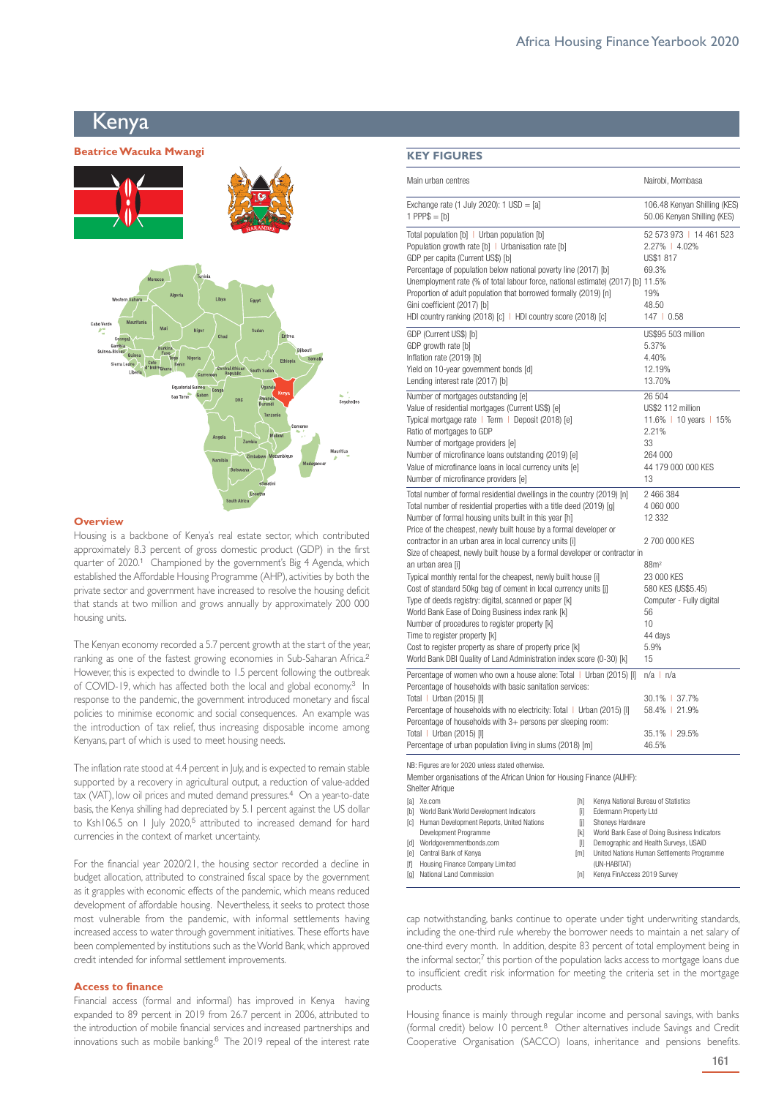# Kenva

# **Beatrice Wacuka Mwangi**  Kenya



#### **Overview**

Housing is a backbone of Kenya's real estate sector, which contributed approximately 8.3 percent of gross domestic product (GDP) in the first quarter of 2020.<sup>1</sup> Championed by the government's Big 4 Agenda, which established the Affordable Housing Programme (AHP), activities by both the private sector and government have increased to resolve the housing deficit that stands at two million and grows annually by approximately 200 000 housing units.

The Kenyan economy recorded a 5.7 percent growth at the start of the year, ranking as one of the fastest growing economies in Sub-Saharan Africa.<sup>2</sup> However, this is expected to dwindle to 1.5 percent following the outbreak of COVID-19, which has affected both the local and global economy.<sup>3</sup> In response to the pandemic, the government introduced monetary and fiscal policies to minimise economic and social consequences. An example was the introduction of tax relief, thus increasing disposable income among Kenyans, part of which is used to meet housing needs.

The inflation rate stood at 4.4 percent in July, and is expected to remain stable supported by a recovery in agricultural output, a reduction of value-added tax (VAT), low oil prices and muted demand pressures.<sup>4</sup> On a year-to-date basis, the Kenya shilling had depreciated by 5.1 percent against the US dollar to Ksh106.5 on 1 July 2020,<sup>5</sup> attributed to increased demand for hard currencies in the context of market uncertainty.

For the financial year 2020/21, the housing sector recorded a decline in budget allocation, attributed to constrained fiscal space by the government as it grapples with economic effects of the pandemic, which means reduced development of affordable housing. Nevertheless, it seeks to protect those most vulnerable from the pandemic, with informal settlements having increased access to water through government initiatives. These efforts have been complemented by institutions such as the World Bank, which approved credit intended for informal settlement improvements.

### **Access to finance**

Financial access (formal and informal) has improved in Kenya having expanded to 89 percent in 2019 from 26.7 percent in 2006, attributed to the introduction of mobile financial services and increased partnerships and innovations such as mobile banking.<sup>6</sup> The 2019 repeal of the interest rate

| and the |  |  |  |
|---------|--|--|--|
|         |  |  |  |

| Main urban centres                                                                                                                                                                                                                                                                                                                                                                                                                                                                        | Nairobi, Mombasa                                                                                                      |
|-------------------------------------------------------------------------------------------------------------------------------------------------------------------------------------------------------------------------------------------------------------------------------------------------------------------------------------------------------------------------------------------------------------------------------------------------------------------------------------------|-----------------------------------------------------------------------------------------------------------------------|
| Exchange rate $(1$ July 2020): $1$ USD = $[a]$<br>$1$ PPP\$ = [b]                                                                                                                                                                                                                                                                                                                                                                                                                         | 106.48 Kenyan Shilling (KES)<br>50.06 Kenyan Shilling (KES)                                                           |
| Total population [b]   Urban population [b]<br>Population growth rate [b]   Urbanisation rate [b]<br>GDP per capita (Current US\$) [b]<br>Percentage of population below national poverty line (2017) [b]<br>Unemployment rate (% of total labour force, national estimate) (2017) [b] 11.5%<br>Proportion of adult population that borrowed formally (2019) [n]<br>Gini coefficient (2017) [b]<br>HDI country ranking (2018) [c]   HDI country score (2018) [c]                          | 52 573 973   14 461 523<br>2.27%   4.02%<br>US\$1 817<br>69.3%<br>19%<br>48.50<br>147   0.58                          |
| GDP (Current US\$) [b]<br>GDP growth rate [b]<br>Inflation rate (2019) [b]<br>Yield on 10-year government bonds [d]<br>Lending interest rate (2017) [b]                                                                                                                                                                                                                                                                                                                                   | US\$95 503 million<br>5.37%<br>4.40%<br>12.19%<br>13.70%                                                              |
| Number of mortgages outstanding [e]<br>Value of residential mortgages (Current US\$) [e]<br>Typical mortgage rate   Term   Deposit (2018) [e]<br>Ratio of mortgages to GDP<br>Number of mortgage providers [e]<br>Number of microfinance loans outstanding (2019) [e]<br>Value of microfinance loans in local currency units [e]<br>Number of microfinance providers [e]                                                                                                                  | 26 504<br>US\$2 112 million<br>11.6%   10 years   15%<br>2.21%<br>33<br>264 000<br>44 179 000 000 KES<br>13           |
| Total number of formal residential dwellings in the country (2019) [n]<br>Total number of residential properties with a title deed (2019) [g]<br>Number of formal housing units built in this year [h]<br>Price of the cheapest, newly built house by a formal developer or<br>contractor in an urban area in local currency units [i]<br>Size of cheapest, newly built house by a formal developer or contractor in                                                                      | 2 466 384<br>4 060 000<br>12 332<br>2 700 000 KES                                                                     |
| an urban area [i]<br>Typical monthly rental for the cheapest, newly built house [i]<br>Cost of standard 50kg bag of cement in local currency units [j]<br>Type of deeds registry: digital, scanned or paper [k]<br>World Bank Ease of Doing Business index rank [k]<br>Number of procedures to register property [k]<br>Time to register property [k]<br>Cost to register property as share of property price [k]<br>World Bank DBI Quality of Land Administration index score (0-30) [k] | 88m <sup>2</sup><br>23 000 KES<br>580 KES (US\$5.45)<br>Computer - Fully digital<br>56<br>10<br>44 days<br>5.9%<br>15 |
| Percentage of women who own a house alone: Total   Urban (2015) [I]<br>Percentage of households with basic sanitation services:<br>Total   Urban (2015) [I]<br>Percentage of households with no electricity: Total   Urban (2015) [I]<br>Percentage of households with 3+ persons per sleeping room:<br>Total   Urban (2015) [I]<br>Percentage of urban population living in slums (2018) [m]                                                                                             | $n/a \mid n/a$<br>30.1% 37.7%<br>58.4%   21.9%<br>35.1%   29.5%<br>46.5%                                              |
| NB: Figures are for 2020 unless stated otherwise.<br>Mamber arganizations of the African Union for Unusing Finance (AUUE)                                                                                                                                                                                                                                                                                                                                                                 |                                                                                                                       |

Member organisations of the African Union for Housing Finance (AUHF):

Shelter Afrique

|   | fal Xe.com                                    | m   | Kenya National Bureau of Statistics          |
|---|-----------------------------------------------|-----|----------------------------------------------|
|   | [b] World Bank World Development Indicators   | m   | Edermann Property Ltd                        |
|   | [c] Human Development Reports, United Nations | m   | Shoneys Hardware                             |
|   | Development Programme                         | ſkÌ | World Bank Ease of Doing Business Indicators |
|   | [d] Worldgovernmentbonds.com                  | Ш   | Demographic and Health Surveys, USAID        |
|   | <b>Tel</b> Central Bank of Kenva              | [m] | United Nations Human Settlements Programme   |
| m | Housing Finance Company Limited               |     | (UN-HABITAT)                                 |
|   | [g] National Land Commission                  | Inl | Kenya FinAccess 2019 Survey                  |

cap notwithstanding, banks continue to operate under tight underwriting standards, including the one-third rule whereby the borrower needs to maintain a net salary of one-third every month. In addition, despite 83 percent of total employment being in the informal sector,7 this portion of the population lacks access to mortgage loans due to insufficient credit risk information for meeting the criteria set in the mortgage products.

Housing finance is mainly through regular income and personal savings, with banks (formal credit) below 10 percent.<sup>8</sup> Other alternatives include Savings and Credit Cooperative Organisation (SACCO) loans, inheritance and pensions benefits.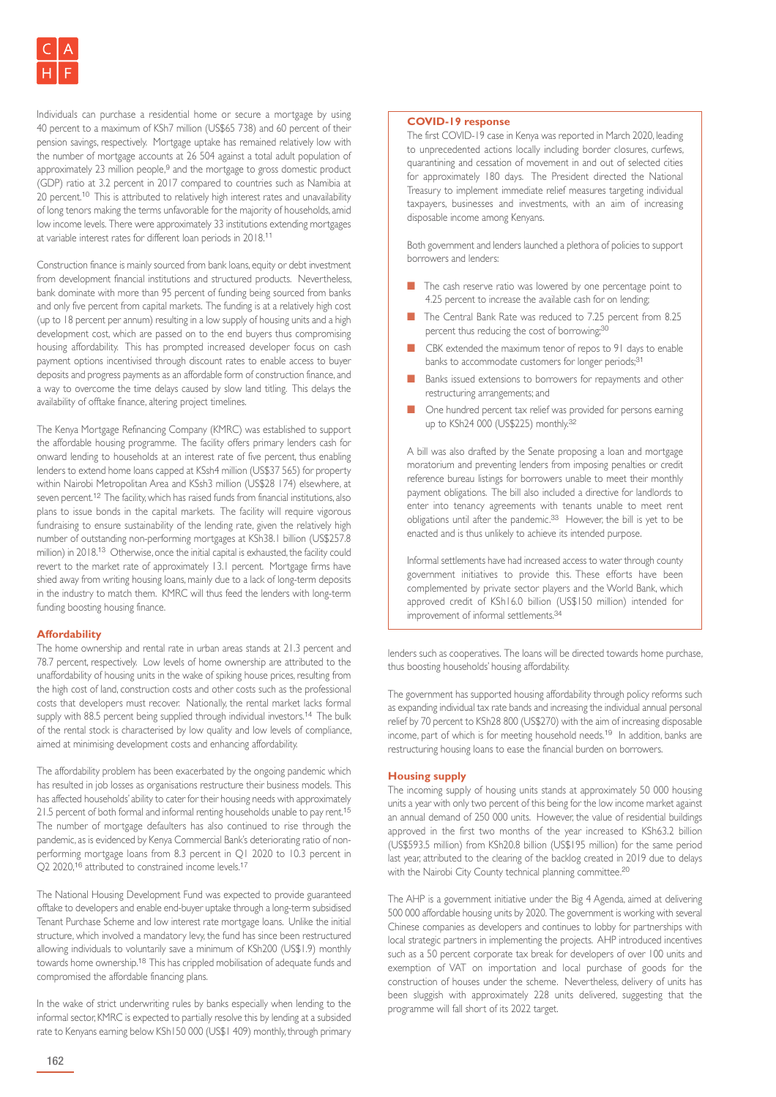Individuals can purchase a residential home or secure a mortgage by using 40 percent to a maximum of KSh7 million (US\$65 738) and 60 percent of their pension savings, respectively. Mortgage uptake has remained relatively low with the number of mortgage accounts at 26 504 against a total adult population of approximately 23 million people,<sup>9</sup> and the mortgage to gross domestic product (GDP) ratio at 3.2 percent in 2017 compared to countries such as Namibia at 20 percent.<sup>10</sup> This is attributed to relatively high interest rates and unavailability of long tenors making the terms unfavorable for the majority of households, amid low income levels. There were approximately 33 institutions extending mortgages at variable interest rates for different loan periods in 2018.<sup>11</sup>

Construction finance is mainly sourced from bank loans, equity or debt investment from development financial institutions and structured products. Nevertheless, bank dominate with more than 95 percent of funding being sourced from banks and only five percent from capital markets. The funding is at a relatively high cost (up to 18 percent per annum) resulting in a low supply of housing units and a high development cost, which are passed on to the end buyers thus compromising housing affordability. This has prompted increased developer focus on cash payment options incentivised through discount rates to enable access to buyer deposits and progress payments as an affordable form of construction finance, and a way to overcome the time delays caused by slow land titling. This delays the availability of offtake finance, altering project timelines.

The Kenya Mortgage Refinancing Company (KMRC) was established to support the affordable housing programme. The facility offers primary lenders cash for onward lending to households at an interest rate of five percent, thus enabling lenders to extend home loans capped at KSsh4 million (US\$37 565) for property within Nairobi Metropolitan Area and KSsh3 million (US\$28 174) elsewhere, at seven percent.<sup>12</sup> The facility, which has raised funds from financial institutions, also plans to issue bonds in the capital markets. The facility will require vigorous fundraising to ensure sustainability of the lending rate, given the relatively high number of outstanding non-performing mortgages at KSh38.1 billion (US\$257.8 million) in 2018.<sup>13</sup> Otherwise, once the initial capital is exhausted, the facility could revert to the market rate of approximately 13.1 percent. Mortgage firms have shied away from writing housing loans, mainly due to a lack of long-term deposits in the industry to match them. KMRC will thus feed the lenders with long-term funding boosting housing finance.

# **Affordability**

The home ownership and rental rate in urban areas stands at 21.3 percent and 78.7 percent, respectively. Low levels of home ownership are attributed to the unaffordability of housing units in the wake of spiking house prices, resulting from the high cost of land, construction costs and other costs such as the professional costs that developers must recover. Nationally, the rental market lacks formal supply with 88.5 percent being supplied through individual investors.<sup>14</sup> The bulk of the rental stock is characterised by low quality and low levels of compliance, aimed at minimising development costs and enhancing affordability.

The affordability problem has been exacerbated by the ongoing pandemic which has resulted in job losses as organisations restructure their business models. This has affected households' ability to cater for their housing needs with approximately 21.5 percent of both formal and informal renting households unable to pay rent.<sup>15</sup> The number of mortgage defaulters has also continued to rise through the pandemic, as is evidenced by Kenya Commercial Bank's deteriorating ratio of nonperforming mortgage loans from 8.3 percent in Q1 2020 to 10.3 percent in Q2 2020,<sup>16</sup> attributed to constrained income levels.<sup>17</sup>

The National Housing Development Fund was expected to provide guaranteed offtake to developers and enable end-buyer uptake through a long-term subsidised Tenant Purchase Scheme and low interest rate mortgage loans. Unlike the initial structure, which involved a mandatory levy, the fund has since been restructured allowing individuals to voluntarily save a minimum of KSh200 (US\$1.9) monthly towards home ownership.<sup>18</sup> This has crippled mobilisation of adequate funds and compromised the affordable financing plans.

In the wake of strict underwriting rules by banks especially when lending to the informal sector, KMRC is expected to partially resolve this by lending at a subsided rate to Kenyans earning below KSh150 000 (US\$1 409) monthly, through primary

# **COVID-19 response**

The first COVID-19 case in Kenya was reported in March 2020, leading to unprecedented actions locally including border closures, curfews, quarantining and cessation of movement in and out of selected cities for approximately 180 days. The President directed the National Treasury to implement immediate relief measures targeting individual taxpayers, businesses and investments, with an aim of increasing disposable income among Kenyans.

Both government and lenders launched a plethora of policies to support borrowers and lenders:

- **n** The cash reserve ratio was lowered by one percentage point to 4.25 percent to increase the available cash for on lending;
- The Central Bank Rate was reduced to 7.25 percent from 8.25 percent thus reducing the cost of borrowing;<sup>30</sup>
- CBK extended the maximum tenor of repos to 91 days to enable banks to accommodate customers for longer periods;<sup>31</sup>
- Banks issued extensions to borrowers for repayments and other restructuring arrangements; and
- n One hundred percent tax relief was provided for persons earning up to KSh24 000 (US\$225) monthly.<sup>32</sup>

A bill was also drafted by the Senate proposing a loan and mortgage moratorium and preventing lenders from imposing penalties or credit reference bureau listings for borrowers unable to meet their monthly payment obligations. The bill also included a directive for landlords to enter into tenancy agreements with tenants unable to meet rent obligations until after the pandemic.<sup>33</sup> However, the bill is yet to be enacted and is thus unlikely to achieve its intended purpose.

Informal settlements have had increased access to water through county government initiatives to provide this. These efforts have been complemented by private sector players and the World Bank, which approved credit of KSh16.0 billion (US\$150 million) intended for improvement of informal settlements.<sup>34</sup>

lenders such as cooperatives. The loans will be directed towards home purchase, thus boosting households' housing affordability.

The government has supported housing affordability through policy reforms such as expanding individual tax rate bands and increasing the individual annual personal relief by 70 percent to KSh28 800 (US\$270) with the aim of increasing disposable income, part of which is for meeting household needs.<sup>19</sup> In addition, banks are restructuring housing loans to ease the financial burden on borrowers.

## **Housing supply**

The incoming supply of housing units stands at approximately 50 000 housing units a year with only two percent of this being for the low income market against an annual demand of 250 000 units. However, the value of residential buildings approved in the first two months of the year increased to KSh63.2 billion (US\$593.5 million) from KSh20.8 billion (US\$195 million) for the same period last year, attributed to the clearing of the backlog created in 2019 due to delays with the Nairobi City County technical planning committee.<sup>20</sup>

The AHP is a government initiative under the Big 4 Agenda, aimed at delivering 500 000 affordable housing units by 2020. The government is working with several Chinese companies as developers and continues to lobby for partnerships with local strategic partners in implementing the projects. AHP introduced incentives such as a 50 percent corporate tax break for developers of over 100 units and exemption of VAT on importation and local purchase of goods for the construction of houses under the scheme. Nevertheless, delivery of units has been sluggish with approximately 228 units delivered, suggesting that the programme will fall short of its 2022 target.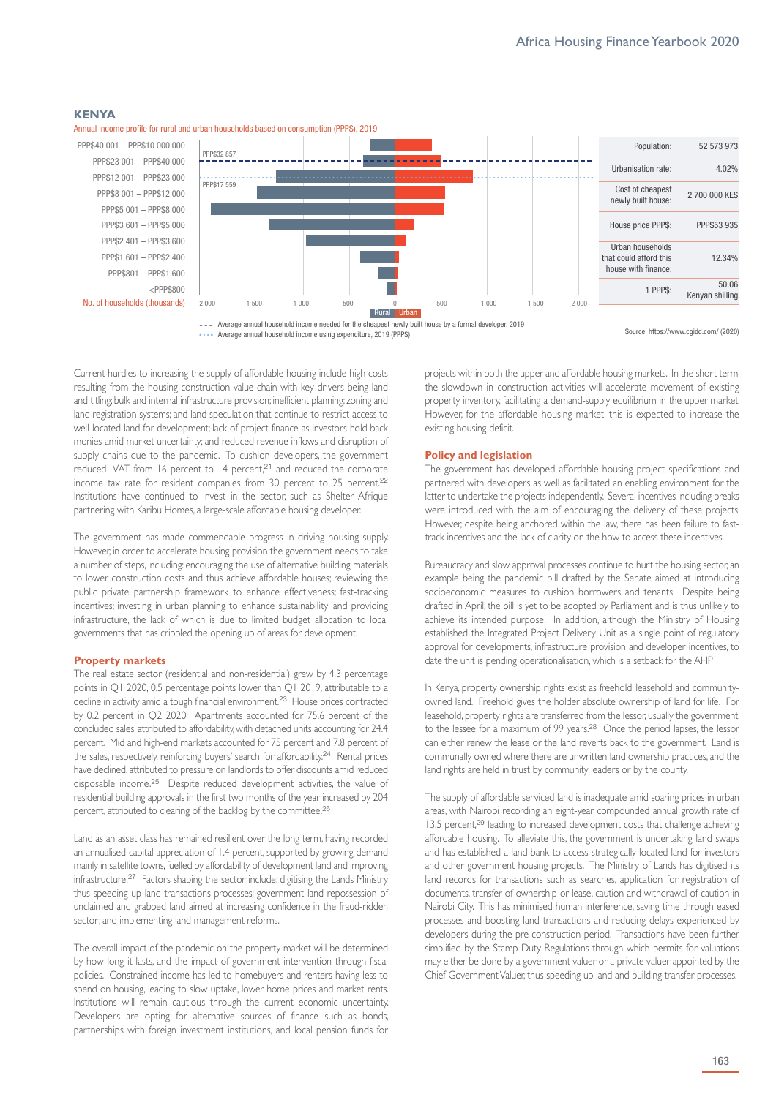#### **KENYA**



Annual income profile for rural and urban households based on consumption (PPP\$), 2019

**- - -** Average annual household income needed for the cheapest newly built house by a formal developer, 2019 **••••** Average annual household income using expenditure, 2019 (PPP\$)

Source: https://www.cgidd.com/ (2020)

Current hurdles to increasing the supply of affordable housing include high costs resulting from the housing construction value chain with key drivers being land and titling; bulk and internal infrastructure provision; inefficient planning; zoning and land registration systems; and land speculation that continue to restrict access to well-located land for development; lack of project finance as investors hold back monies amid market uncertainty; and reduced revenue inflows and disruption of supply chains due to the pandemic. To cushion developers, the government reduced VAT from 16 percent to 14 percent,<sup>21</sup> and reduced the corporate income tax rate for resident companies from 30 percent to 25 percent.<sup>22</sup> Institutions have continued to invest in the sector, such as Shelter Afrique partnering with Karibu Homes, a large-scale affordable housing developer.

The government has made commendable progress in driving housing supply. However, in order to accelerate housing provision the government needs to take a number of steps, including: encouraging the use of alternative building materials to lower construction costs and thus achieve affordable houses; reviewing the public private partnership framework to enhance effectiveness; fast-tracking incentives; investing in urban planning to enhance sustainability; and providing infrastructure, the lack of which is due to limited budget allocation to local governments that has crippled the opening up of areas for development.

#### **Property markets**

The real estate sector (residential and non-residential) grew by 4.3 percentage points in Q1 2020, 0.5 percentage points lower than Q1 2019, attributable to a decline in activity amid a tough financial environment.<sup>23</sup> House prices contracted by 0.2 percent in Q2 2020. Apartments accounted for 75.6 percent of the concluded sales, attributed to affordability, with detached units accounting for 24.4 percent. Mid and high-end markets accounted for 75 percent and 7.8 percent of the sales, respectively, reinforcing buyers' search for affordability.<sup>24</sup> Rental prices have declined, attributed to pressure on landlords to offer discounts amid reduced disposable income.<sup>25</sup> Despite reduced development activities, the value of residential building approvals in the first two months of the year increased by 204 percent, attributed to clearing of the backlog by the committee.<sup>26</sup>

Land as an asset class has remained resilient over the long term, having recorded an annualised capital appreciation of 1.4 percent, supported by growing demand mainly in satellite towns, fuelled by affordability of development land and improving infrastructure.<sup>27</sup> Factors shaping the sector include: digitising the Lands Ministry thus speeding up land transactions processes; government land repossession of unclaimed and grabbed land aimed at increasing confidence in the fraud-ridden sector; and implementing land management reforms.

The overall impact of the pandemic on the property market will be determined by how long it lasts, and the impact of government intervention through fiscal policies. Constrained income has led to homebuyers and renters having less to spend on housing, leading to slow uptake, lower home prices and market rents. Institutions will remain cautious through the current economic uncertainty. Developers are opting for alternative sources of finance such as bonds, partnerships with foreign investment institutions, and local pension funds for

projects within both the upper and affordable housing markets. In the short term, the slowdown in construction activities will accelerate movement of existing property inventory, facilitating a demand-supply equilibrium in the upper market. However, for the affordable housing market, this is expected to increase the existing housing deficit.

#### **Policy and legislation**

The government has developed affordable housing project specifications and partnered with developers as well as facilitated an enabling environment for the latter to undertake the projects independently. Several incentives including breaks were introduced with the aim of encouraging the delivery of these projects. However, despite being anchored within the law, there has been failure to fasttrack incentives and the lack of clarity on the how to access these incentives.

Bureaucracy and slow approval processes continue to hurt the housing sector, an example being the pandemic bill drafted by the Senate aimed at introducing socioeconomic measures to cushion borrowers and tenants. Despite being drafted in April, the bill is yet to be adopted by Parliament and is thus unlikely to achieve its intended purpose. In addition, although the Ministry of Housing established the Integrated Project Delivery Unit as a single point of regulatory approval for developments, infrastructure provision and developer incentives, to date the unit is pending operationalisation, which is a setback for the AHP.

In Kenya, property ownership rights exist as freehold, leasehold and communityowned land. Freehold gives the holder absolute ownership of land for life. For leasehold, property rights are transferred from the lessor, usually the government, to the lessee for a maximum of 99 years.<sup>28</sup> Once the period lapses, the lessor can either renew the lease or the land reverts back to the government. Land is communally owned where there are unwritten land ownership practices, and the land rights are held in trust by community leaders or by the county.

The supply of affordable serviced land is inadequate amid soaring prices in urban areas, with Nairobi recording an eight-year compounded annual growth rate of 13.5 percent,<sup>29</sup> leading to increased development costs that challenge achieving affordable housing. To alleviate this, the government is undertaking land swaps and has established a land bank to access strategically located land for investors and other government housing projects. The Ministry of Lands has digitised its land records for transactions such as searches, application for registration of documents, transfer of ownership or lease, caution and withdrawal of caution in Nairobi City. This has minimised human interference, saving time through eased processes and boosting land transactions and reducing delays experienced by developers during the pre-construction period. Transactions have been further simplified by the Stamp Duty Regulations through which permits for valuations may either be done by a government valuer or a private valuer appointed by the Chief Government Valuer, thus speeding up land and building transfer processes.